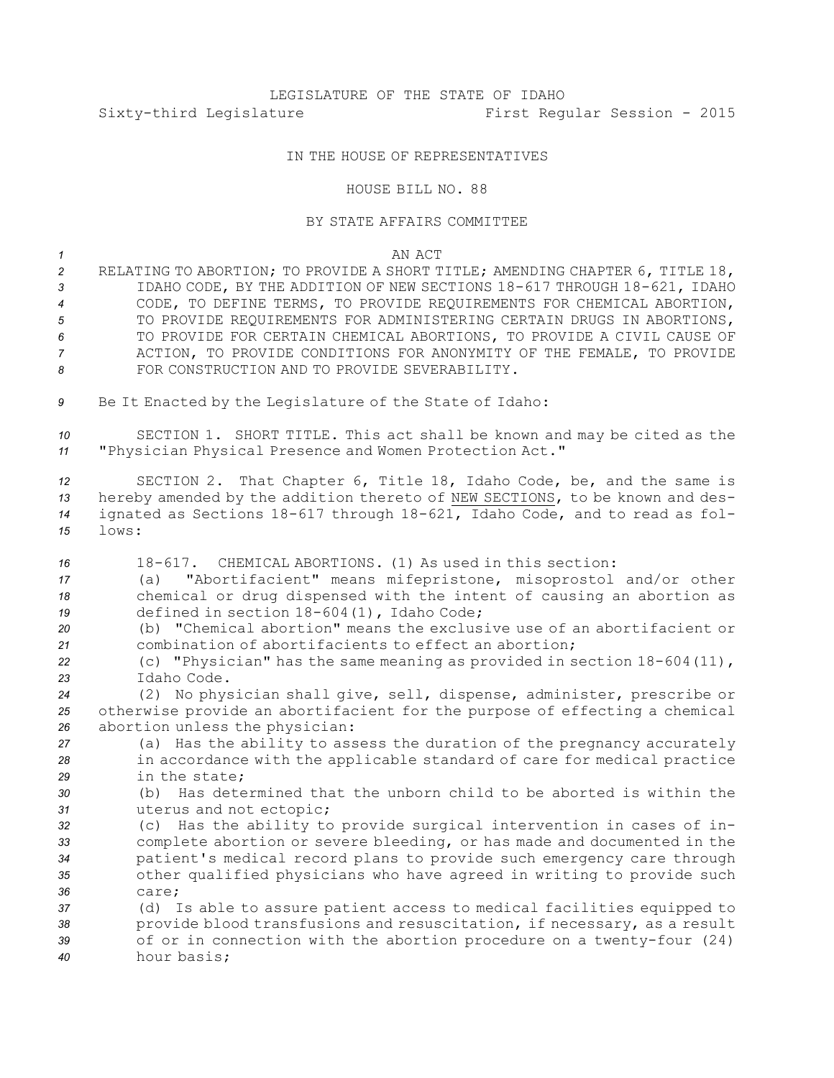# LEGISLATURE OF THE STATE OF IDAHO Sixty-third Legislature First Regular Session - 2015

## IN THE HOUSE OF REPRESENTATIVES

#### HOUSE BILL NO. 88

## BY STATE AFFAIRS COMMITTEE

#### *1* AN ACT

 RELATING TO ABORTION; TO PROVIDE A SHORT TITLE; AMENDING CHAPTER 6, TITLE 18, IDAHO CODE, BY THE ADDITION OF NEW SECTIONS 18-617 THROUGH 18-621, IDAHO CODE, TO DEFINE TERMS, TO PROVIDE REQUIREMENTS FOR CHEMICAL ABORTION, TO PROVIDE REQUIREMENTS FOR ADMINISTERING CERTAIN DRUGS IN ABORTIONS, TO PROVIDE FOR CERTAIN CHEMICAL ABORTIONS, TO PROVIDE A CIVIL CAUSE OF ACTION, TO PROVIDE CONDITIONS FOR ANONYMITY OF THE FEMALE, TO PROVIDE FOR CONSTRUCTION AND TO PROVIDE SEVERABILITY.

*<sup>9</sup>* Be It Enacted by the Legislature of the State of Idaho:

*<sup>10</sup>* SECTION 1. SHORT TITLE. This act shall be known and may be cited as the *<sup>11</sup>* "Physician Physical Presence and Women Protection Act."

 SECTION 2. That Chapter 6, Title 18, Idaho Code, be, and the same is hereby amended by the addition thereto of NEW SECTIONS, to be known and des- ignated as Sections 18-617 through 18-621, Idaho Code, and to read as fol-*15* lows:

 18-617. CHEMICAL ABORTIONS. (1) As used in this section: (a) "Abortifacient" means mifepristone, misoprostol and/or other chemical or drug dispensed with the intent of causing an abortion as defined in section 18-604(1), Idaho Code;

*20* (b) "Chemical abortion" means the exclusive use of an abortifacient or *21* combination of abortifacients to effect an abortion;

*<sup>22</sup>* (c) "Physician" has the same meaning as provided in section 18-604(11), *23* Idaho Code.

*<sup>24</sup>* (2) No physician shall give, sell, dispense, administer, prescribe or *<sup>25</sup>* otherwise provide an abortifacient for the purpose of effecting <sup>a</sup> chemical *<sup>26</sup>* abortion unless the physician:

*<sup>27</sup>* (a) Has the ability to assess the duration of the pregnancy accurately *<sup>28</sup>* in accordance with the applicable standard of care for medical practice *29* in the state;

*30* (b) Has determined that the unborn child to be aborted is within the *<sup>31</sup>* uterus and not ectopic;

 (c) Has the ability to provide surgical intervention in cases of in- complete abortion or severe bleeding, or has made and documented in the patient's medical record plans to provide such emergency care through other qualified physicians who have agreed in writing to provide such *36* care;

 (d) Is able to assure patient access to medical facilities equipped to provide blood transfusions and resuscitation, if necessary, as <sup>a</sup> result of or in connection with the abortion procedure on <sup>a</sup> twenty-four (24) hour basis;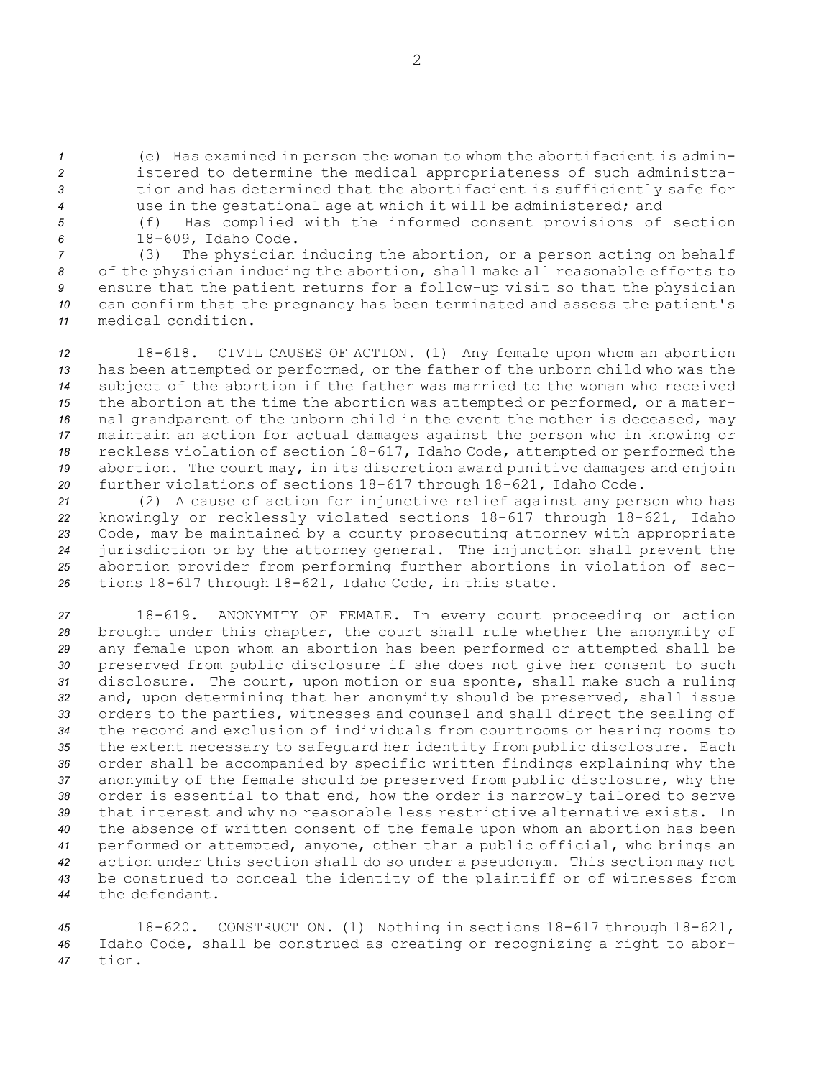(e) Has examined in person the woman to whom the abortifacient is admin- istered to determine the medical appropriateness of such administra- tion and has determined that the abortifacient is sufficiently safe for use in the gestational age at which it will be administered; and

*<sup>5</sup>* (f) Has complied with the informed consent provisions of section *<sup>6</sup>* 18-609, Idaho Code.

 (3) The physician inducing the abortion, or <sup>a</sup> person acting on behalf of the physician inducing the abortion, shall make all reasonable efforts to ensure that the patient returns for <sup>a</sup> follow-up visit so that the physician can confirm that the pregnancy has been terminated and assess the patient's medical condition.

 18-618. CIVIL CAUSES OF ACTION. (1) Any female upon whom an abortion has been attempted or performed, or the father of the unborn child who was the subject of the abortion if the father was married to the woman who received the abortion at the time the abortion was attempted or performed, or <sup>a</sup> mater- nal grandparent of the unborn child in the event the mother is deceased, may maintain an action for actual damages against the person who in knowing or reckless violation of section 18-617, Idaho Code, attempted or performed the abortion. The court may, in its discretion award punitive damages and enjoin further violations of sections 18-617 through 18-621, Idaho Code.

 (2) <sup>A</sup> cause of action for injunctive relief against any person who has knowingly or recklessly violated sections 18-617 through 18-621, Idaho Code, may be maintained by <sup>a</sup> county prosecuting attorney with appropriate jurisdiction or by the attorney general. The injunction shall prevent the abortion provider from performing further abortions in violation of sec-tions 18-617 through 18-621, Idaho Code, in this state.

 18-619. ANONYMITY OF FEMALE. In every court proceeding or action brought under this chapter, the court shall rule whether the anonymity of any female upon whom an abortion has been performed or attempted shall be preserved from public disclosure if she does not give her consent to such disclosure. The court, upon motion or sua sponte, shall make such <sup>a</sup> ruling and, upon determining that her anonymity should be preserved, shall issue orders to the parties, witnesses and counsel and shall direct the sealing of the record and exclusion of individuals from courtrooms or hearing rooms to the extent necessary to safeguard her identity from public disclosure. Each order shall be accompanied by specific written findings explaining why the anonymity of the female should be preserved from public disclosure, why the order is essential to that end, how the order is narrowly tailored to serve that interest and why no reasonable less restrictive alternative exists. In the absence of written consent of the female upon whom an abortion has been performed or attempted, anyone, other than <sup>a</sup> public official, who brings an action under this section shall do so under <sup>a</sup> pseudonym. This section may not be construed to conceal the identity of the plaintiff or of witnesses from the defendant.

*<sup>45</sup>* 18-620. CONSTRUCTION. (1) Nothing in sections 18-617 through 18-621, *<sup>46</sup>* Idaho Code, shall be construed as creating or recognizing <sup>a</sup> right to abor-*47* tion.